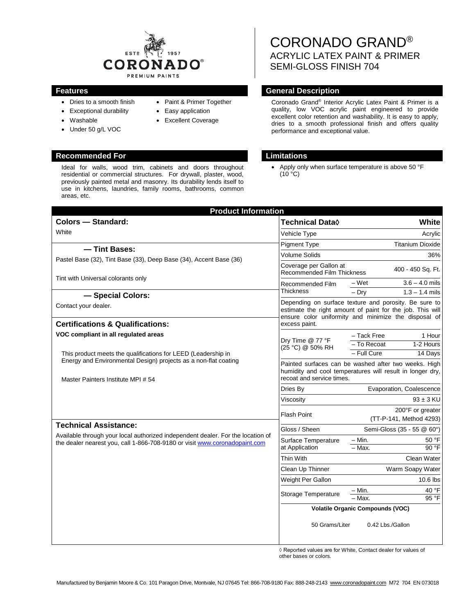

- Dries to a smooth finish
- Exceptional durability
- Washable
- Under 50 g/L VOC
- Easy application

• Paint & Primer Together

• Excellent Coverage

## **Recommended For Limitations**

Ideal for walls, wood trim, cabinets and doors throughout residential or commercial structures. For drywall, plaster, wood, previously painted metal and masonry. Its durability lends itself to use in kitchens, laundries, family rooms, bathrooms, common areas, etc.

CORONADO GRAND® ACRYLIC LATEX PAINT & PRIMER SEMI-GLOSS FINISH 704

## **Features General Description**

Coronado Grand® Interior Acrylic Latex Paint & Primer is a quality, low VOC acrylic paint engineered to provide excellent color retention and washability. It is easy to apply, dries to a smooth professional finish and offers quality performance and exceptional value.

Apply only when surface temperature is above 50 °F  $(10 °C)$ 

| <b>Product Information</b>                                                                                                                                                                    |                                                                                                                                                                                             |                                                |
|-----------------------------------------------------------------------------------------------------------------------------------------------------------------------------------------------|---------------------------------------------------------------------------------------------------------------------------------------------------------------------------------------------|------------------------------------------------|
| <b>Colors - Standard:</b>                                                                                                                                                                     | <b>Technical Data</b> ♦                                                                                                                                                                     | White                                          |
| White                                                                                                                                                                                         | Vehicle Type                                                                                                                                                                                | Acrylic                                        |
| - Tint Bases:<br>Pastel Base (32), Tint Base (33), Deep Base (34), Accent Base (36)<br>Tint with Universal colorants only<br>- Special Colors:                                                | <b>Pigment Type</b>                                                                                                                                                                         | <b>Titanium Dioxide</b>                        |
|                                                                                                                                                                                               | <b>Volume Solids</b>                                                                                                                                                                        | 36%                                            |
|                                                                                                                                                                                               | Coverage per Gallon at<br><b>Recommended Film Thickness</b>                                                                                                                                 | 400 - 450 Sq. Ft.                              |
|                                                                                                                                                                                               | Recommended Film<br><b>Thickness</b>                                                                                                                                                        | $3.6 - 4.0$ mils<br>– Wet                      |
|                                                                                                                                                                                               |                                                                                                                                                                                             | $-$ Dry<br>$1.3 - 1.4$ mils                    |
| Contact your dealer.<br><b>Certifications &amp; Qualifications:</b>                                                                                                                           | Depending on surface texture and porosity. Be sure to<br>estimate the right amount of paint for the job. This will<br>ensure color uniformity and minimize the disposal of<br>excess paint. |                                                |
| VOC compliant in all regulated areas                                                                                                                                                          |                                                                                                                                                                                             | - Tack Free<br>1 Hour                          |
| This product meets the qualifications for LEED (Leadership in<br>Energy and Environmental Design) projects as a non-flat coating<br>Master Painters Institute MPI # 54                        | Dry Time @ 77 °F<br>(25 °C) @ 50% RH                                                                                                                                                        | 1-2 Hours<br>To Recoat                         |
|                                                                                                                                                                                               |                                                                                                                                                                                             | - Full Cure<br>14 Days                         |
|                                                                                                                                                                                               | Painted surfaces can be washed after two weeks. High<br>humidity and cool temperatures will result in longer dry,<br>recoat and service times.                                              |                                                |
|                                                                                                                                                                                               | Dries By                                                                                                                                                                                    | Evaporation, Coalescence                       |
|                                                                                                                                                                                               | Viscosity                                                                                                                                                                                   | $93 \pm 3$ KU                                  |
|                                                                                                                                                                                               | <b>Flash Point</b>                                                                                                                                                                          | 200°F or greater<br>(TT-P-141, Method 4293)    |
| <b>Technical Assistance:</b><br>Available through your local authorized independent dealer. For the location of<br>the dealer nearest you, call 1-866-708-9180 or visit www.coronadopaint.com | Gloss / Sheen                                                                                                                                                                               | Semi-Gloss (35 - 55 @ 60°)                     |
|                                                                                                                                                                                               | Surface Temperature<br>at Application                                                                                                                                                       | $-$ Min.<br>50 °F<br>90 °F<br>$-Max$ .         |
|                                                                                                                                                                                               | <b>Thin With</b>                                                                                                                                                                            | Clean Water                                    |
|                                                                                                                                                                                               | Clean Up Thinner                                                                                                                                                                            | Warm Soapy Water                               |
|                                                                                                                                                                                               | Weight Per Gallon                                                                                                                                                                           | 10.6 lbs                                       |
|                                                                                                                                                                                               | <b>Storage Temperature</b>                                                                                                                                                                  | 40 °F<br>– Min.<br>$95$ <sup>o</sup> F<br>Max. |
|                                                                                                                                                                                               | <b>Volatile Organic Compounds (VOC)</b>                                                                                                                                                     |                                                |
|                                                                                                                                                                                               | 50 Grams/Liter                                                                                                                                                                              | 0.42 Lbs./Gallon                               |

◊ Reported values are for White, Contact dealer for values of other bases or colors.